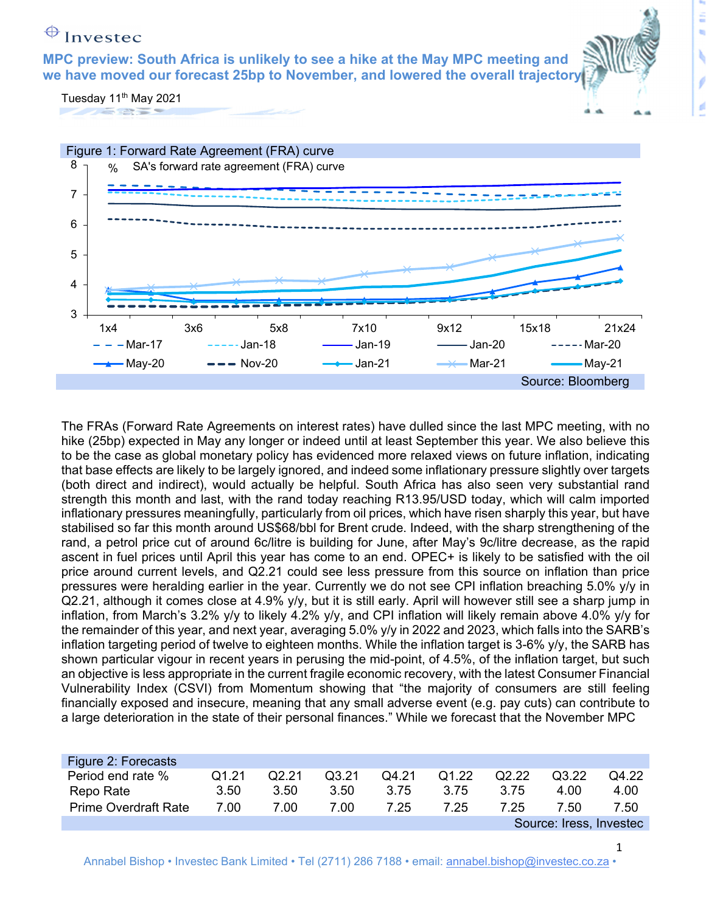## $\bigoplus$ Invested

**MPC preview: South Africa is unlikely to see a hike at the May MPC meeting and**  we have moved our forecast 25bp to November, and lowered the overall trajector

Tuesday 11<sup>th</sup> May 2021 



The FRAs (Forward Rate Agreements on interest rates) have dulled since the last MPC meeting, with no hike (25bp) expected in May any longer or indeed until at least September this year. We also believe this to be the case as global monetary policy has evidenced more relaxed views on future inflation, indicating that base effects are likely to be largely ignored, and indeed some inflationary pressure slightly over targets (both direct and indirect), would actually be helpful. South Africa has also seen very substantial rand strength this month and last, with the rand today reaching R13.95/USD today, which will calm imported inflationary pressures meaningfully, particularly from oil prices, which have risen sharply this year, but have stabilised so far this month around US\$68/bbl for Brent crude. Indeed, with the sharp strengthening of the rand, a petrol price cut of around 6c/litre is building for June, after May's 9c/litre decrease, as the rapid ascent in fuel prices until April this year has come to an end. OPEC+ is likely to be satisfied with the oil price around current levels, and Q2.21 could see less pressure from this source on inflation than price pressures were heralding earlier in the year. Currently we do not see CPI inflation breaching 5.0% y/y in Q2.21, although it comes close at 4.9% y/y, but it is still early. April will however still see a sharp jump in inflation, from March's 3.2% y/y to likely 4.2% y/y, and CPI inflation will likely remain above 4.0% y/y for the remainder of this year, and next year, averaging 5.0% y/y in 2022 and 2023, which falls into the SARB's inflation targeting period of twelve to eighteen months. While the inflation target is 3-6% y/y, the SARB has shown particular vigour in recent years in perusing the mid-point, of 4.5%, of the inflation target, but such an objective is less appropriate in the current fragile economic recovery, with the latest Consumer Financial Vulnerability Index (CSVI) from Momentum showing that "the majority of consumers are still feeling financially exposed and insecure, meaning that any small adverse event (e.g. pay cuts) can contribute to a large deterioration in the state of their personal finances." While we forecast that the November MPC

| Figure 2: Forecasts         |       |       |       |       |       |       |                         |       |
|-----------------------------|-------|-------|-------|-------|-------|-------|-------------------------|-------|
| Period end rate %           | Q1.21 | Q2.21 | Q3.21 | Q4.21 | Q1.22 | Q2.22 | Q3.22                   | Q4.22 |
| Repo Rate                   | 3.50  | 3.50  | 3.50  | 3.75  | 3.75  | 3.75  | 4.00                    | 4.00  |
| <b>Prime Overdraft Rate</b> | 7.00  | 7.00  | 7.00  | 7 25  | 7.25  | 7.25  | 7.50                    | 7.50  |
|                             |       |       |       |       |       |       | Source: Iress, Investec |       |
|                             |       |       |       |       |       |       |                         |       |

1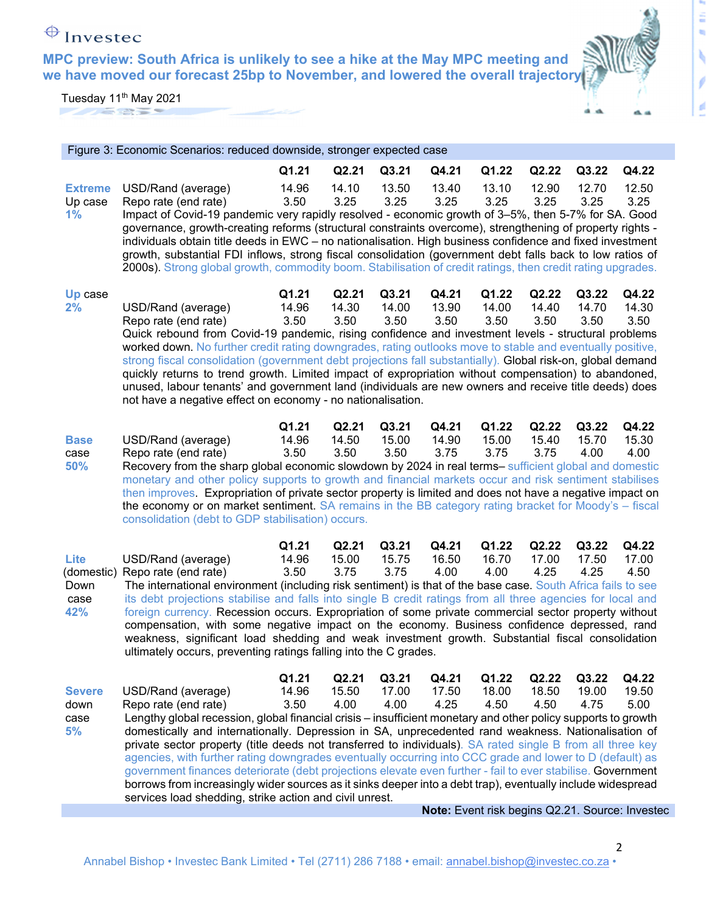**MPC preview: South Africa is unlikely to see a hike at the May MPC meeting and we have moved our forecast 25bp to November, and lowered the overall trajectory** 



t,

Tuesday 11<sup>th</sup> May 2021 **AND RESERVE** 

|                                     | Figure 3: Economic Scenarios: reduced downside, stronger expected case                                                                                                                                                                                                                                                                                                                                                                                                                                                                                                                                                                                                                                                                                                                |                        |                        |                        |                        |                        |                        |                        |                        |
|-------------------------------------|---------------------------------------------------------------------------------------------------------------------------------------------------------------------------------------------------------------------------------------------------------------------------------------------------------------------------------------------------------------------------------------------------------------------------------------------------------------------------------------------------------------------------------------------------------------------------------------------------------------------------------------------------------------------------------------------------------------------------------------------------------------------------------------|------------------------|------------------------|------------------------|------------------------|------------------------|------------------------|------------------------|------------------------|
|                                     |                                                                                                                                                                                                                                                                                                                                                                                                                                                                                                                                                                                                                                                                                                                                                                                       | Q1.21                  | Q2.21                  | Q3.21                  | Q4.21                  | Q1.22                  | Q2.22                  | Q3.22                  | Q4.22                  |
| <b>Extreme</b><br>Up case<br>1%     | USD/Rand (average)<br>Repo rate (end rate)<br>Impact of Covid-19 pandemic very rapidly resolved - economic growth of 3–5%, then 5-7% for SA. Good<br>governance, growth-creating reforms (structural constraints overcome), strengthening of property rights -<br>individuals obtain title deeds in EWC - no nationalisation. High business confidence and fixed investment<br>growth, substantial FDI inflows, strong fiscal consolidation (government debt falls back to low ratios of<br>2000s). Strong global growth, commodity boom. Stabilisation of credit ratings, then credit rating upgrades.                                                                                                                                                                               | 14.96<br>3.50          | 14.10<br>3.25          | 13.50<br>3.25          | 13.40<br>3.25          | 13.10<br>3.25          | 12.90<br>3.25          | 12.70<br>3.25          | 12.50<br>3.25          |
| Up case<br>2%                       | USD/Rand (average)<br>Repo rate (end rate)<br>Quick rebound from Covid-19 pandemic, rising confidence and investment levels - structural problems<br>worked down. No further credit rating downgrades, rating outlooks move to stable and eventually positive,<br>strong fiscal consolidation (government debt projections fall substantially). Global risk-on, global demand<br>quickly returns to trend growth. Limited impact of expropriation without compensation) to abandoned,<br>unused, labour tenants' and government land (individuals are new owners and receive title deeds) does<br>not have a negative effect on economy - no nationalisation.                                                                                                                         | Q1.21<br>14.96<br>3.50 | Q2.21<br>14.30<br>3.50 | Q3.21<br>14.00<br>3.50 | Q4.21<br>13.90<br>3.50 | Q1.22<br>14.00<br>3.50 | Q2.22<br>14.40<br>3.50 | Q3.22<br>14.70<br>3.50 | Q4.22<br>14.30<br>3.50 |
| <b>Base</b><br>case<br>50%          | USD/Rand (average)<br>Repo rate (end rate)<br>Recovery from the sharp global economic slowdown by 2024 in real terms- sufficient global and domestic<br>monetary and other policy supports to growth and financial markets occur and risk sentiment stabilises<br>then improves. Expropriation of private sector property is limited and does not have a negative impact on<br>the economy or on market sentiment. SA remains in the BB category rating bracket for Moody's - fiscal<br>consolidation (debt to GDP stabilisation) occurs.                                                                                                                                                                                                                                             | Q1.21<br>14.96<br>3.50 | Q2.21<br>14.50<br>3.50 | Q3.21<br>15.00<br>3.50 | Q4.21<br>14.90<br>3.75 | Q1.22<br>15.00<br>3.75 | Q2.22<br>15.40<br>3.75 | Q3.22<br>15.70<br>4.00 | Q4.22<br>15.30<br>4.00 |
| Lite<br>Down<br>case<br>42%         | USD/Rand (average)<br>(domestic) Repo rate (end rate)<br>The international environment (including risk sentiment) is that of the base case. South Africa fails to see<br>its debt projections stabilise and falls into single B credit ratings from all three agencies for local and<br>foreign currency. Recession occurs. Expropriation of some private commercial sector property without<br>compensation, with some negative impact on the economy. Business confidence depressed, rand<br>weakness, significant load shedding and weak investment growth. Substantial fiscal consolidation<br>ultimately occurs, preventing ratings falling into the C grades.                                                                                                                   | Q1.21<br>14.96<br>3.50 | Q2.21<br>15.00<br>3.75 | Q3.21<br>15.75<br>3.75 | Q4.21<br>16.50<br>4.00 | Q1.22<br>16.70<br>4.00 | Q2.22<br>17.00<br>4.25 | Q3.22<br>17.50<br>4.25 | Q4.22<br>17.00<br>4.50 |
| <b>Severe</b><br>down<br>case<br>5% | USD/Rand (average)<br>Repo rate (end rate)<br>Lengthy global recession, global financial crisis – insufficient monetary and other policy supports to growth<br>domestically and internationally. Depression in SA, unprecedented rand weakness. Nationalisation of<br>private sector property (title deeds not transferred to individuals). SA rated single B from all three key<br>agencies, with further rating downgrades eventually occurring into CCC grade and lower to D (default) as<br>government finances deteriorate (debt projections elevate even further - fail to ever stabilise. Government<br>borrows from increasingly wider sources as it sinks deeper into a debt trap), eventually include widespread<br>services load shedding, strike action and civil unrest. | Q1.21<br>14.96<br>3.50 | Q2.21<br>15.50<br>4.00 | Q3.21<br>17.00<br>4.00 | Q4.21<br>17.50<br>4.25 | Q1.22<br>18.00<br>4.50 | Q2.22<br>18.50<br>4.50 | Q3.22<br>19.00<br>4.75 | Q4.22<br>19.50<br>5.00 |

**Note:** Event risk begins Q2.21. Source: Investec

2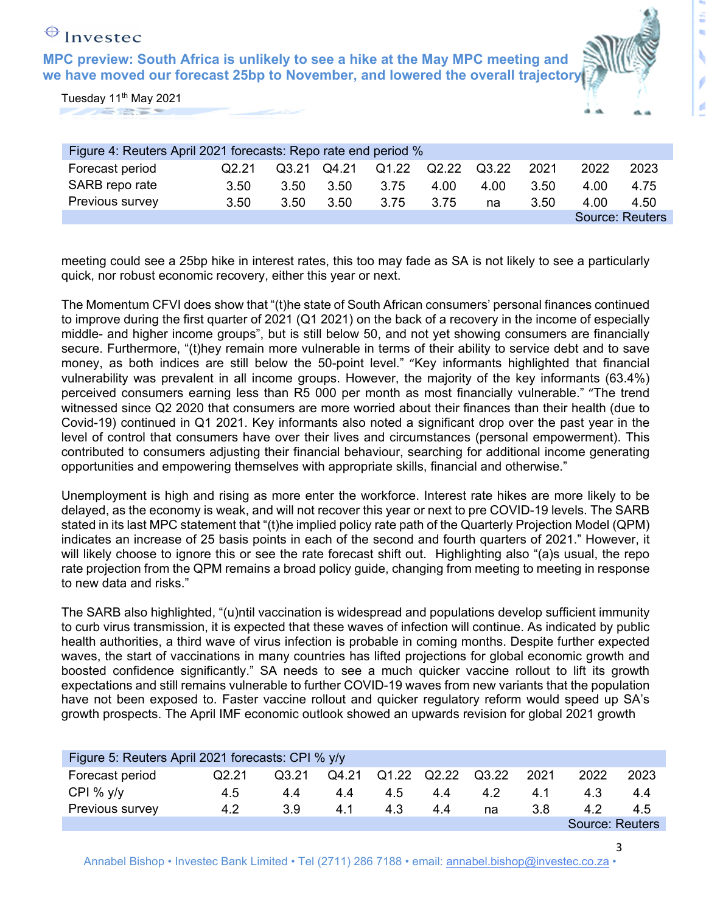

Tuesday 11<sup>th</sup> May 2021 **AND RESERVE** 

| Figure 4: Reuters April 2021 forecasts: Repo rate end period % |       |      |             |                   |       |       |      |      |                 |
|----------------------------------------------------------------|-------|------|-------------|-------------------|-------|-------|------|------|-----------------|
| Forecast period                                                | Q2.21 |      | Q3.21 Q4.21 | Q <sub>1.22</sub> | Q2.22 | Q3.22 | 2021 | 2022 | 2023            |
| SARB repo rate                                                 | 3.50  | 3.50 | 3.50        | 3.75              | 4.00  | 4.00  | 3.50 | 4.00 | 4.75            |
| Previous survey                                                | 3.50  | 3.50 | 3.50        | 3.75              | 3.75  | na    | 3.50 | 4.00 | 4.50            |
|                                                                |       |      |             |                   |       |       |      |      | Source: Reuters |

meeting could see a 25bp hike in interest rates, this too may fade as SA is not likely to see a particularly quick, nor robust economic recovery, either this year or next.

The Momentum CFVI does show that "(t)he state of South African consumers' personal finances continued to improve during the first quarter of 2021 (Q1 2021) on the back of a recovery in the income of especially middle- and higher income groups", but is still below 50, and not yet showing consumers are financially secure. Furthermore, "(t)hey remain more vulnerable in terms of their ability to service debt and to save money, as both indices are still below the 50-point level." "Key informants highlighted that financial vulnerability was prevalent in all income groups. However, the majority of the key informants (63.4%) perceived consumers earning less than R5 000 per month as most financially vulnerable." "The trend witnessed since Q2 2020 that consumers are more worried about their finances than their health (due to Covid-19) continued in Q1 2021. Key informants also noted a significant drop over the past year in the level of control that consumers have over their lives and circumstances (personal empowerment). This contributed to consumers adjusting their financial behaviour, searching for additional income generating opportunities and empowering themselves with appropriate skills, financial and otherwise."

Unemployment is high and rising as more enter the workforce. Interest rate hikes are more likely to be delayed, as the economy is weak, and will not recover this year or next to pre COVID-19 levels. The SARB stated in its last MPC statement that "(t)he implied policy rate path of the Quarterly Projection Model (QPM) indicates an increase of 25 basis points in each of the second and fourth quarters of 2021." However, it will likely choose to ignore this or see the rate forecast shift out. Highlighting also "(a)s usual, the repo rate projection from the QPM remains a broad policy guide, changing from meeting to meeting in response to new data and risks."

The SARB also highlighted, "(u)ntil vaccination is widespread and populations develop sufficient immunity to curb virus transmission, it is expected that these waves of infection will continue. As indicated by public health authorities, a third wave of virus infection is probable in coming months. Despite further expected waves, the start of vaccinations in many countries has lifted projections for global economic growth and boosted confidence significantly." SA needs to see a much quicker vaccine rollout to lift its growth expectations and still remains vulnerable to further COVID-19 waves from new variants that the population have not been exposed to. Faster vaccine rollout and quicker regulatory reform would speed up SA's growth prospects. The April IMF economic outlook showed an upwards revision for global 2021 growth

| Figure 5: Reuters April 2021 forecasts: CPI % y/y |       |       |     |     |     |                         |      |                        |      |
|---------------------------------------------------|-------|-------|-----|-----|-----|-------------------------|------|------------------------|------|
| Forecast period                                   | Q2.21 | Q3.21 |     |     |     | Q4.21 Q1.22 Q2.22 Q3.22 | 2021 | 2022                   | 2023 |
| CPI % $y/y$                                       | 4.5   | 4.4   | 44  | 4.5 | 4.4 | 42                      | 4.1  | 4.3                    | 4.4  |
| Previous survey                                   | 4.2   | 3.9   | 4.1 | 4.3 | 4.4 | na                      | 3.8  | 4.2                    | 4.5  |
|                                                   |       |       |     |     |     |                         |      | <b>Source: Reuters</b> |      |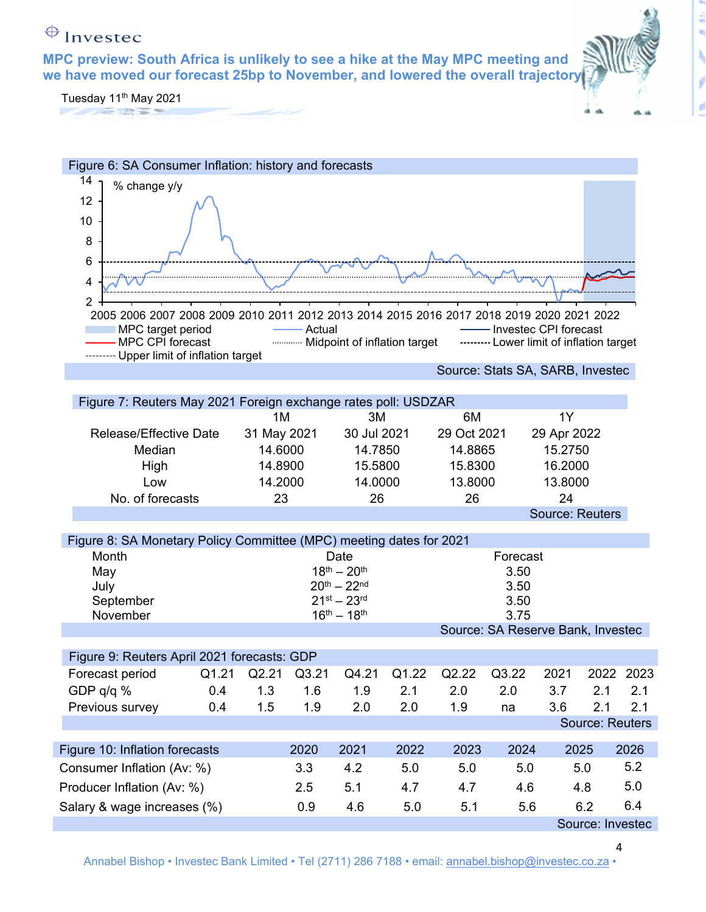

É b

4

Tuesday 11th May 2021

|                                | Figure 6: SA Consumer Inflation: history and forecasts                                    |                   |          |                              |       |             |                                          |             |                        |      |
|--------------------------------|-------------------------------------------------------------------------------------------|-------------------|----------|------------------------------|-------|-------------|------------------------------------------|-------------|------------------------|------|
| 14                             | % change y/y                                                                              |                   |          |                              |       |             |                                          |             |                        |      |
| 12                             |                                                                                           |                   |          |                              |       |             |                                          |             |                        |      |
| 10                             |                                                                                           |                   |          |                              |       |             |                                          |             |                        |      |
| 8                              |                                                                                           |                   |          |                              |       |             |                                          |             |                        |      |
|                                |                                                                                           |                   |          |                              |       |             |                                          |             |                        |      |
| 6                              |                                                                                           |                   |          |                              |       |             |                                          |             |                        |      |
| 4                              |                                                                                           |                   |          |                              |       |             |                                          |             |                        |      |
| $\overline{2}$                 |                                                                                           |                   |          |                              |       |             |                                          |             |                        |      |
|                                | 2005 2006 2007 2008 2009 2010 2011 2012 2013 2014 2015 2016 2017 2018 2019 2020 2021 2022 |                   |          |                              |       |             |                                          |             |                        |      |
|                                | MPC target period<br>MPC CPI forecast                                                     |                   | - Actual | Midpoint of inflation target |       |             | - Investec CPI forecast                  |             |                        |      |
|                                | --------- Upper limit of inflation target                                                 |                   |          |                              |       |             | -------- Lower limit of inflation target |             |                        |      |
|                                |                                                                                           |                   |          |                              |       |             | Source: Stats SA, SARB, Investec         |             |                        |      |
|                                | Figure 7: Reuters May 2021 Foreign exchange rates poll: USDZAR                            |                   |          |                              |       |             |                                          |             |                        |      |
|                                |                                                                                           | 1M                |          | 3M                           |       | 6M          |                                          | 1Y          |                        |      |
|                                | Release/Effective Date                                                                    | 31 May 2021       |          | 30 Jul 2021                  |       | 29 Oct 2021 |                                          | 29 Apr 2022 |                        |      |
|                                | Median                                                                                    | 14.6000           |          | 14.7850                      |       | 14.8865     |                                          | 15.2750     |                        |      |
|                                | High                                                                                      | 14.8900           |          | 15.5800                      |       | 15.8300     |                                          | 16.2000     |                        |      |
|                                | Low                                                                                       | 14.2000           |          | 14.0000                      |       | 13.8000     |                                          | 13.8000     |                        |      |
|                                | No. of forecasts                                                                          | 23                |          | 26                           |       | 26          |                                          | 24          |                        |      |
|                                |                                                                                           |                   |          |                              |       |             |                                          |             | Source: Reuters        |      |
|                                |                                                                                           |                   |          |                              |       |             |                                          |             |                        |      |
|                                | Figure 8: SA Monetary Policy Committee (MPC) meeting dates for 2021                       |                   |          |                              |       |             |                                          |             |                        |      |
| Month                          |                                                                                           |                   |          | Date<br>$18^{th} - 20^{th}$  |       |             | Forecast<br>3.50                         |             |                        |      |
| May<br>July                    |                                                                                           |                   |          | $20^{th} - 22^{nd}$          |       |             | 3.50                                     |             |                        |      |
| September                      |                                                                                           |                   |          | $21^{st} - 23^{rd}$          |       |             | 3.50                                     |             |                        |      |
| November                       |                                                                                           |                   |          | $16^{th} - 18^{th}$          |       |             | 3.75                                     |             |                        |      |
|                                |                                                                                           |                   |          |                              |       |             | Source: SA Reserve Bank, Investec        |             |                        |      |
|                                | Figure 9: Reuters April 2021 forecasts: GDP                                               |                   |          |                              |       |             |                                          |             |                        |      |
| Forecast period                |                                                                                           | Q1.21 Q2.21 Q3.21 |          | Q4.21                        | Q1.22 | Q2.22       | Q3.22                                    | 2021        | 2022                   | 2023 |
| GDP q/q %                      | 0.4                                                                                       | 1.3               | 1.6      | 1.9                          | 2.1   | 2.0         | 2.0                                      | 3.7         | 2.1                    | 2.1  |
| Previous survey                | 0.4                                                                                       | 1.5               | 1.9      | 2.0                          | 2.0   | 1.9         | na                                       | 3.6         | 2.1                    | 2.1  |
|                                |                                                                                           |                   |          |                              |       |             |                                          |             | <b>Source: Reuters</b> |      |
|                                |                                                                                           |                   |          |                              |       |             |                                          |             |                        |      |
| Figure 10: Inflation forecasts |                                                                                           |                   | 2020     | 2021                         | 2022  | 2023        | 2024                                     | 2025        |                        | 2026 |
| Consumer Inflation (Av: %)     |                                                                                           |                   | 3.3      | 4.2                          | 5.0   | 5.0         | 5.0                                      |             | 5.0                    | 5.2  |
| Producer Inflation (Av: %)     |                                                                                           |                   | 2.5      | 5.1                          | 4.7   | 4.7         | 4.6                                      |             | 4.8                    | 5.0  |
| Salary & wage increases (%)    |                                                                                           |                   | 0.9      | 4.6                          | 5.0   | 5.1         | 5.6                                      |             | 6.2                    | 6.4  |
|                                |                                                                                           |                   |          |                              |       |             |                                          |             | Source: Investec       |      |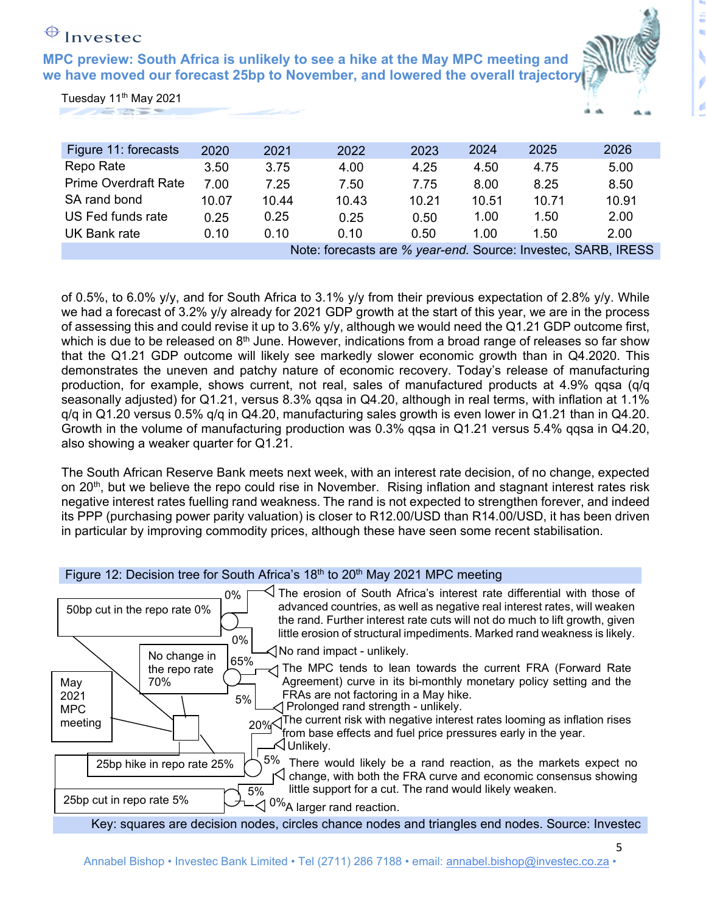# $\bigoplus$  Investec

**MPC preview: South Africa is unlikely to see a hike at the May MPC meeting and**  we have moved our forecast 25bp to November, and lowered the overall trajector



5

| Tuesday 11 <sup>th</sup> May 2021 |  |
|-----------------------------------|--|
|                                   |  |

| Figure 11: forecasts        | 2020  | 2021  | 2022  | 2023  | 2024  | 2025  | 2026                                                          |
|-----------------------------|-------|-------|-------|-------|-------|-------|---------------------------------------------------------------|
| Repo Rate                   | 3.50  | 3.75  | 4.00  | 4.25  | 4.50  | 4.75  | 5.00                                                          |
| <b>Prime Overdraft Rate</b> | 7.00  | 7.25  | 7.50  | 7.75  | 8.00  | 8.25  | 8.50                                                          |
| SA rand bond                | 10.07 | 10.44 | 10.43 | 10.21 | 10.51 | 10.71 | 10.91                                                         |
| US Fed funds rate           | 0.25  | 0.25  | 0.25  | 0.50  | 1.00  | 1.50  | 2.00                                                          |
| <b>UK Bank rate</b>         | 0.10  | 0.10  | 0.10  | 0.50  | 1.00  | 1.50  | 2.00                                                          |
|                             |       |       |       |       |       |       | Note: forecasts are % year-end. Source: Investec, SARB, IRESS |

of 0.5%, to 6.0% y/y, and for South Africa to 3.1% y/y from their previous expectation of 2.8% y/y. While we had a forecast of 3.2% y/y already for 2021 GDP growth at the start of this year, we are in the process of assessing this and could revise it up to 3.6% y/y, although we would need the Q1.21 GDP outcome first, which is due to be released on 8<sup>th</sup> June. However, indications from a broad range of releases so far show that the Q1.21 GDP outcome will likely see markedly slower economic growth than in Q4.2020. This demonstrates the uneven and patchy nature of economic recovery. Today's release of manufacturing production, for example, shows current, not real, sales of manufactured products at 4.9% qqsa (q/q seasonally adjusted) for Q1.21, versus 8.3% qqsa in Q4.20, although in real terms, with inflation at 1.1% q/q in Q1.20 versus 0.5% q/q in Q4.20, manufacturing sales growth is even lower in Q1.21 than in Q4.20. Growth in the volume of manufacturing production was 0.3% qqsa in Q1.21 versus 5.4% qqsa in Q4.20, also showing a weaker quarter for Q1.21.

The South African Reserve Bank meets next week, with an interest rate decision, of no change, expected on 20<sup>th</sup>, but we believe the repo could rise in November. Rising inflation and stagnant interest rates risk negative interest rates fuelling rand weakness. The rand is not expected to strengthen forever, and indeed its PPP (purchasing power parity valuation) is closer to R12.00/USD than R14.00/USD, it has been driven in particular by improving commodity prices, although these have seen some recent stabilisation.

## Figure 12: Decision tree for South Africa's  $18<sup>th</sup>$  to  $20<sup>th</sup>$  May 2021 MPC meeting Key: squares are decision nodes, circles chance nodes and triangles end nodes. Source: Investec  $\le$  The MPC tends to lean towards the current FRA (Forward Rate Agreement) curve in its bi-monthly monetary policy setting and the FRAs are not factoring in a May hike. 0% 50bp cut in the repo rate 0%  $\triangleleft$  No rand impact - unlikely. 0% 20% $\sqrt{T}$ he current risk with negative interest rates looming as inflation rises from base effects and fuel price pressures early in the year. May 2021 MPC meeting 25bp hike in repo rate 25%  $\triangleleft$  Unlikely. 5% 25bp cut in repo rate 5%  $\rightarrow$   $\rightarrow$   $\rightarrow$  0% a larger rand reaction.  $5\%$  There would likely be a rand reaction, as the markets expect no  $\sqrt{\frac{1}{2}}$  change, with both the FRA curve and economic consensus showing little support for a cut. The rand would likely weaken. No change in the repo rate 70%  $\triangleleft$  The erosion of South Africa's interest rate differential with those of advanced countries, as well as negative real interest rates, will weaken the rand. Further interest rate cuts will not do much to lift growth, given little erosion of structural impediments. Marked rand weakness is likely. Prolonged rand strength - unlikely. 65% 5%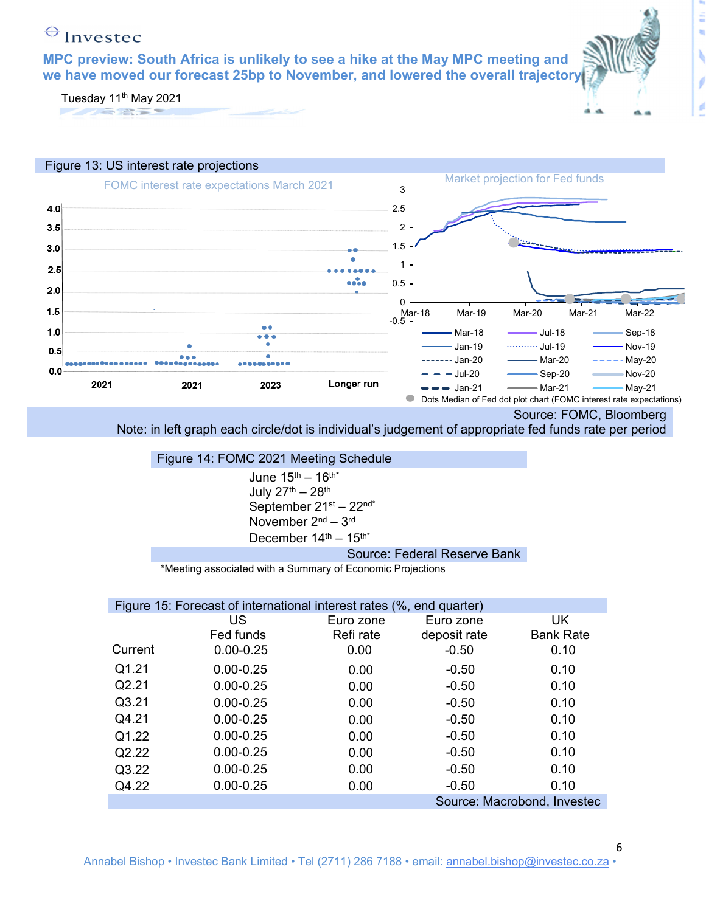

6

Tuesday 11<sup>th</sup> May 2021

**PARTY OF STREET** 

## Figure 13: US interest rate projections Market projection for Fed funds FOMC interest rate expectations March 2021 3 4.0 2.5  $3.5$ 2 1.5  $3.0$  $\bullet$ 1  $2.5$  $\ddotsc$ 0.5  $2.0$ 0  $1.5$ Mar-18 Mar-19 Mar-20 Mar-21 Mar-22  $-0.5$ <sup>Marc</sup>  $\bullet$  $1.0$ Mar-18 **Immary Jul-18** Sep-18 Jan-19 ............ Jul-19 ---------- Nov-19  $0.5$ Jan-20 Mar-20 May-20 .....  $0.0$  $-Jul-20$   $Sep-20$   $Nov-20$ 2021 Longer run 2021 2023  $\Rightarrow$  Jan-21  $\rightarrow$  Mar-21  $\rightarrow$  May-21 Dots Median of Fed dot plot chart (FOMC interest rate expectations) Source: FOMC, Bloomberg

Note: in left graph each circle/dot is individual's judgement of appropriate fed funds rate per period



\*Meeting associated with a Summary of Economic Projections

|                    | Figure 15: Forecast of international interest rates (%, end quarter) |           |              |                             |
|--------------------|----------------------------------------------------------------------|-----------|--------------|-----------------------------|
|                    | US                                                                   | Euro zone | Euro zone    | <b>UK</b>                   |
|                    | Fed funds                                                            | Refi rate | deposit rate | <b>Bank Rate</b>            |
| Current            | $0.00 - 0.25$                                                        | 0.00      | $-0.50$      | 0.10                        |
| Q <sub>1</sub> .21 | $0.00 - 0.25$                                                        | 0.00      | $-0.50$      | 0.10                        |
| Q2.21              | $0.00 - 0.25$                                                        | 0.00      | $-0.50$      | 0.10                        |
| Q3.21              | $0.00 - 0.25$                                                        | 0.00      | $-0.50$      | 0.10                        |
| Q4.21              | $0.00 - 0.25$                                                        | 0.00      | $-0.50$      | 0.10                        |
| Q1.22              | $0.00 - 0.25$                                                        | 0.00      | $-0.50$      | 0.10                        |
| Q2.22              | $0.00 - 0.25$                                                        | 0.00      | $-0.50$      | 0.10                        |
| Q3.22              | $0.00 - 0.25$                                                        | 0.00      | $-0.50$      | 0.10                        |
| Q4.22              | $0.00 - 0.25$                                                        | 0.00      | $-0.50$      | 0.10                        |
|                    |                                                                      |           |              | Source: Macrobond, Investec |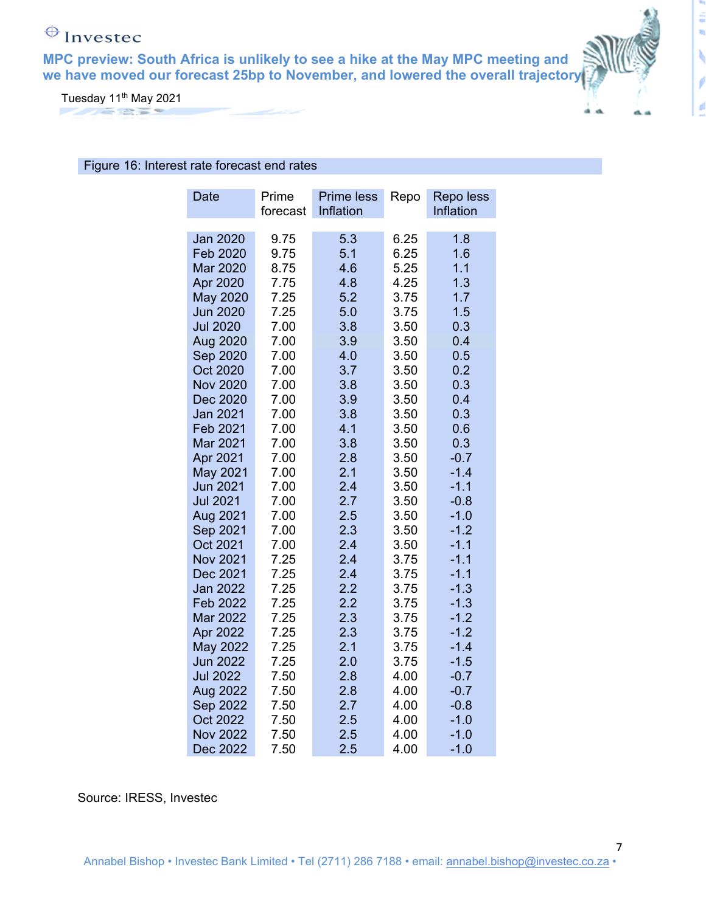

É t,

7

Tuesday 11th May 2021

## Figure 16: Interest rate forecast end rates

| <b>Date</b>     | Prime    | <b>Prime less</b> | Repo | Repo less |
|-----------------|----------|-------------------|------|-----------|
|                 | forecast | Inflation         |      | Inflation |
|                 |          |                   |      |           |
| <b>Jan 2020</b> | 9.75     | 5.3               | 6.25 | 1.8       |
| Feb 2020        | 9.75     | 5.1               | 6.25 | 1.6       |
| Mar 2020        | 8.75     | 4.6               | 5.25 | 1.1       |
| Apr 2020        | 7.75     | 4.8               | 4.25 | 1.3       |
| <b>May 2020</b> | 7.25     | 5.2               | 3.75 | 1.7       |
| <b>Jun 2020</b> | 7.25     | 5.0               | 3.75 | 1.5       |
| <b>Jul 2020</b> | 7.00     | 3.8               | 3.50 | 0.3       |
| Aug 2020        | 7.00     | 3.9               | 3.50 | 0.4       |
| Sep 2020        | 7.00     | 4.0               | 3.50 | 0.5       |
| Oct 2020        | 7.00     | 3.7               | 3.50 | 0.2       |
| <b>Nov 2020</b> | 7.00     | 3.8               | 3.50 | 0.3       |
| Dec 2020        | 7.00     | 3.9               | 3.50 | 0.4       |
| <b>Jan 2021</b> | 7.00     | 3.8               | 3.50 | 0.3       |
| Feb 2021        | 7.00     | 4.1               | 3.50 | 0.6       |
| Mar 2021        | 7.00     | 3.8               | 3.50 | 0.3       |
| Apr 2021        | 7.00     | 2.8               | 3.50 | $-0.7$    |
| <b>May 2021</b> | 7.00     | 2.1               | 3.50 | $-1.4$    |
| <b>Jun 2021</b> | 7.00     | 2.4               | 3.50 | $-1.1$    |
| <b>Jul 2021</b> | 7.00     | 2.7               | 3.50 | $-0.8$    |
| Aug 2021        | 7.00     | 2.5               | 3.50 | $-1.0$    |
| Sep 2021        | 7.00     | 2.3               | 3.50 | $-1.2$    |
| Oct 2021        | 7.00     | 2.4               | 3.50 | $-1.1$    |
| <b>Nov 2021</b> | 7.25     | 2.4               | 3.75 | $-1.1$    |
| Dec 2021        | 7.25     | 2.4               | 3.75 | $-1.1$    |
| <b>Jan 2022</b> | 7.25     | 2.2               | 3.75 | $-1.3$    |
| Feb 2022        | 7.25     | 2.2               | 3.75 | $-1.3$    |
| Mar 2022        | 7.25     | 2.3               | 3.75 | $-1.2$    |
| Apr 2022        | 7.25     | 2.3               | 3.75 | $-1.2$    |
| <b>May 2022</b> | 7.25     | 2.1               | 3.75 | $-1.4$    |
| Jun 2022        | 7.25     | 2.0               | 3.75 | $-1.5$    |
| <b>Jul 2022</b> | 7.50     | 2.8               | 4.00 | $-0.7$    |
| Aug 2022        | 7.50     | 2.8               | 4.00 | $-0.7$    |
| <b>Sep 2022</b> | 7.50     | 2.7               | 4.00 | $-0.8$    |
| Oct 2022        | 7.50     | 2.5               | 4.00 | $-1.0$    |
| <b>Nov 2022</b> | 7.50     | 2.5               | 4.00 | $-1.0$    |
| Dec 2022        | 7.50     | 2.5               | 4.00 | $-1.0$    |

Source: IRESS, Investec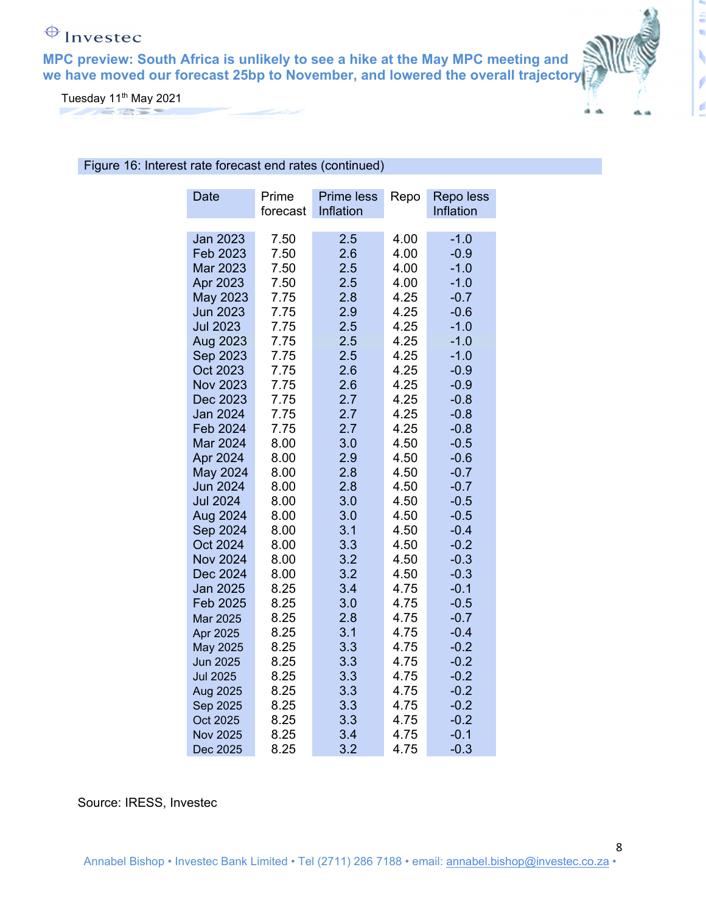

É t,

8

Tuesday 11th May 2021

Figure 16: Interest rate forecast end rates (continued)

| <b>Date</b>     | Prime<br>forecast | <b>Prime less</b><br>Inflation | Repo | Repo less<br>Inflation |
|-----------------|-------------------|--------------------------------|------|------------------------|
|                 |                   |                                |      |                        |
| <b>Jan 2023</b> | 7.50              | 2.5                            | 4.00 | $-1.0$                 |
| Feb 2023        | 7.50              | 2.6                            | 4.00 | $-0.9$                 |
| Mar 2023        | 7.50              | 2.5                            | 4.00 | $-1.0$                 |
| Apr 2023        | 7.50              | 2.5                            | 4.00 | $-1.0$                 |
| <b>May 2023</b> | 7.75              | 2.8                            | 4.25 | $-0.7$                 |
| <b>Jun 2023</b> | 7.75              | 2.9                            | 4.25 | $-0.6$                 |
| <b>Jul 2023</b> | 7.75              | 2.5                            | 4.25 | $-1.0$                 |
| <b>Aug 2023</b> | 7.75              | 2.5                            | 4.25 | $-1.0$                 |
| Sep 2023        | 7.75              | 2.5                            | 4.25 | $-1.0$                 |
| Oct 2023        | 7.75              | 2.6                            | 4.25 | $-0.9$                 |
| <b>Nov 2023</b> | 7.75              | 2.6                            | 4.25 | $-0.9$                 |
| Dec 2023        | 7.75              | 2.7                            | 4.25 | $-0.8$                 |
| Jan 2024        | 7.75              | 2.7                            | 4.25 | $-0.8$                 |
| Feb 2024        | 7.75              | 2.7                            | 4.25 | $-0.8$                 |
| Mar 2024        | 8.00              | 3.0                            | 4.50 | $-0.5$                 |
| Apr 2024        | 8.00              | 2.9                            | 4.50 | $-0.6$                 |
| <b>May 2024</b> | 8.00              | 2.8                            | 4.50 | $-0.7$                 |
| <b>Jun 2024</b> | 8.00              | 2.8                            | 4.50 | $-0.7$                 |
| <b>Jul 2024</b> | 8.00              | 3.0                            | 4.50 | $-0.5$                 |
| Aug 2024        | 8.00              | 3.0                            | 4.50 | $-0.5$                 |
| Sep 2024        | 8.00              | 3.1                            | 4.50 | $-0.4$                 |
| Oct 2024        | 8.00              | 3.3                            | 4.50 | $-0.2$                 |
| <b>Nov 2024</b> | 8.00              | 3.2                            | 4.50 | $-0.3$                 |
| Dec 2024        | 8.00              | 3.2                            | 4.50 | $-0.3$                 |
| Jan 2025        | 8.25              | 3.4                            | 4.75 | $-0.1$                 |
| Feb 2025        | 8.25              | 3.0                            | 4.75 | $-0.5$                 |
| Mar 2025        | 8.25              | 2.8                            | 4.75 | $-0.7$                 |
| Apr 2025        | 8.25              | 3.1                            | 4.75 | $-0.4$                 |
| May 2025        | 8.25              | 3.3                            | 4.75 | $-0.2$                 |
| <b>Jun 2025</b> | 8.25              | 3.3                            | 4.75 | $-0.2$                 |
| <b>Jul 2025</b> | 8.25              | 3.3                            | 4.75 | $-0.2$                 |
| Aug 2025        | 8.25              | 3.3                            | 4.75 | $-0.2$                 |
| Sep 2025        | 8.25              | 3.3                            | 4.75 | $-0.2$                 |
| Oct 2025        | 8.25              | 3.3                            | 4.75 | $-0.2$                 |
| <b>Nov 2025</b> | 8.25              | 3.4                            | 4.75 | $-0.1$                 |
| Dec 2025        | 8.25              | 3.2                            | 4.75 | $-0.3$                 |

Source: IRESS, Investec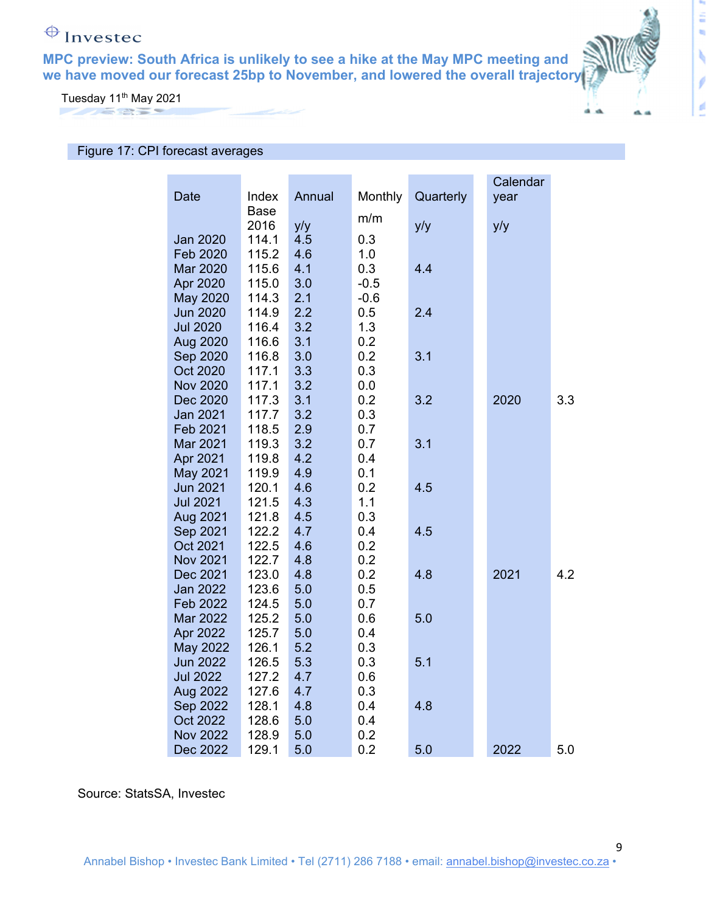

É b

9

Tuesday 11th May 2021

Figure 17: CPI forecast averages

|                 |       |        |         |           | Calendar |     |
|-----------------|-------|--------|---------|-----------|----------|-----|
| <b>Date</b>     | Index | Annual | Monthly | Quarterly | year     |     |
|                 | Base  |        | m/m     |           |          |     |
|                 | 2016  | y/y    |         | y/y       | y/y      |     |
| Jan 2020        | 114.1 | 4.5    | 0.3     |           |          |     |
| Feb 2020        | 115.2 | 4.6    | 1.0     |           |          |     |
| Mar 2020        | 115.6 | 4.1    | 0.3     | 4.4       |          |     |
| Apr 2020        | 115.0 | 3.0    | $-0.5$  |           |          |     |
| May 2020        | 114.3 | 2.1    | $-0.6$  |           |          |     |
| <b>Jun 2020</b> | 114.9 | 2.2    | 0.5     | 2.4       |          |     |
| <b>Jul 2020</b> | 116.4 | 3.2    | 1.3     |           |          |     |
| Aug 2020        | 116.6 | 3.1    | 0.2     |           |          |     |
| Sep 2020        | 116.8 | 3.0    | 0.2     | 3.1       |          |     |
| Oct 2020        | 117.1 | 3.3    | 0.3     |           |          |     |
| <b>Nov 2020</b> | 117.1 | 3.2    | 0.0     |           |          |     |
| Dec 2020        | 117.3 | 3.1    | 0.2     | 3.2       | 2020     | 3.3 |
| <b>Jan 2021</b> | 117.7 | 3.2    | 0.3     |           |          |     |
| Feb 2021        | 118.5 | 2.9    | 0.7     |           |          |     |
| Mar 2021        | 119.3 | 3.2    | 0.7     | 3.1       |          |     |
| Apr 2021        | 119.8 | 4.2    | 0.4     |           |          |     |
| May 2021        | 119.9 | 4.9    | 0.1     |           |          |     |
| <b>Jun 2021</b> | 120.1 | 4.6    | 0.2     | 4.5       |          |     |
| <b>Jul 2021</b> | 121.5 | 4.3    | 1.1     |           |          |     |
| Aug 2021        | 121.8 | 4.5    | 0.3     |           |          |     |
| <b>Sep 2021</b> | 122.2 | 4.7    | 0.4     | 4.5       |          |     |
| Oct 2021        | 122.5 | 4.6    | 0.2     |           |          |     |
| <b>Nov 2021</b> | 122.7 | 4.8    | 0.2     |           |          |     |
| Dec 2021        | 123.0 | 4.8    | 0.2     | 4.8       | 2021     | 4.2 |
| <b>Jan 2022</b> | 123.6 | 5.0    | 0.5     |           |          |     |
| Feb 2022        | 124.5 | 5.0    | 0.7     |           |          |     |
| Mar 2022        | 125.2 | 5.0    | 0.6     | 5.0       |          |     |
| Apr 2022        | 125.7 | 5.0    | 0.4     |           |          |     |
| May 2022        | 126.1 | 5.2    | 0.3     |           |          |     |
| <b>Jun 2022</b> | 126.5 | 5.3    | 0.3     | 5.1       |          |     |
| <b>Jul 2022</b> | 127.2 | 4.7    | 0.6     |           |          |     |
| <b>Aug 2022</b> | 127.6 | 4.7    | 0.3     |           |          |     |
| Sep 2022        | 128.1 | 4.8    | 0.4     | 4.8       |          |     |
| Oct 2022        | 128.6 | 5.0    | 0.4     |           |          |     |
| <b>Nov 2022</b> | 128.9 | 5.0    | 0.2     |           |          |     |
| Dec 2022        | 129.1 | 5.0    | 0.2     | 5.0       | 2022     | 5.0 |

Source: StatsSA, Investec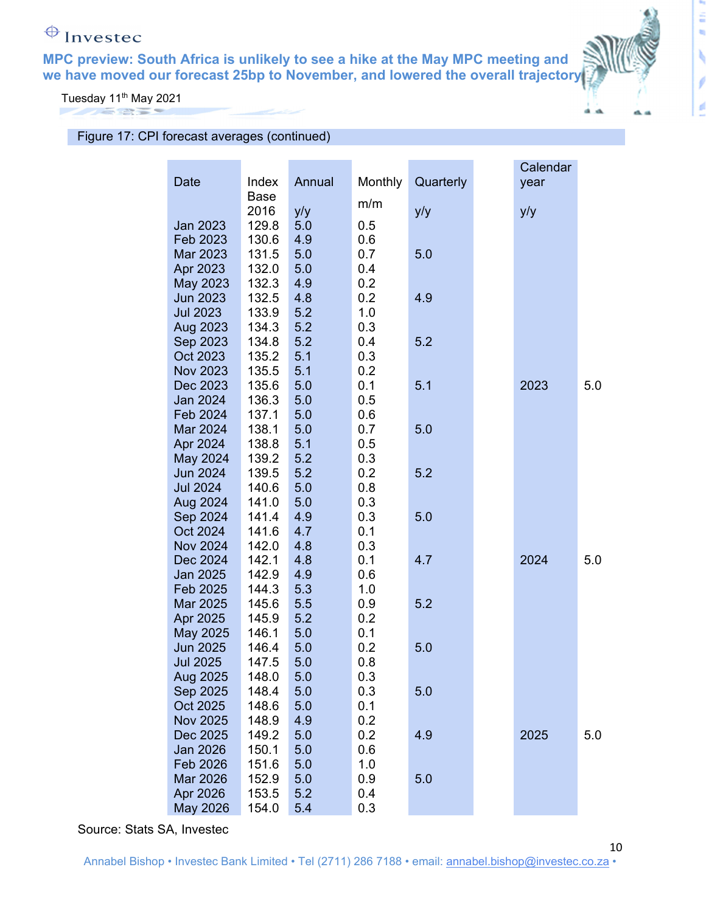

É t,

10

Tuesday 11<sup>th</sup> May 2021 **AND STREET** 

Figure 17: CPI forecast averages (continued)

|                      |                |            |            |           | Calendar |     |
|----------------------|----------------|------------|------------|-----------|----------|-----|
| Date                 | Index          | Annual     | Monthly    | Quarterly | year     |     |
|                      | <b>Base</b>    |            | m/m        |           |          |     |
|                      | 2016           | y/y        |            | y/y       | y/y      |     |
| Jan 2023             | 129.8          | 5.0        | 0.5        |           |          |     |
| Feb 2023             | 130.6          | 4.9        | 0.6        |           |          |     |
| Mar 2023             | 131.5          | 5.0        | 0.7        | 5.0       |          |     |
| Apr 2023             | 132.0          | 5.0        | 0.4        |           |          |     |
| May 2023             | 132.3          | 4.9        | 0.2        |           |          |     |
| Jun 2023             | 132.5          | 4.8        | 0.2        | 4.9       |          |     |
| <b>Jul 2023</b>      | 133.9          | 5.2        | 1.0<br>0.3 |           |          |     |
| Aug 2023             | 134.3          | 5.2<br>5.2 |            |           |          |     |
| Sep 2023<br>Oct 2023 | 134.8<br>135.2 | 5.1        | 0.4        | 5.2       |          |     |
| <b>Nov 2023</b>      | 135.5          | 5.1        | 0.3<br>0.2 |           |          |     |
| Dec 2023             | 135.6          | 5.0        | 0.1        | 5.1       | 2023     | 5.0 |
| Jan 2024             | 136.3          | 5.0        | 0.5        |           |          |     |
| Feb 2024             | 137.1          | 5.0        | 0.6        |           |          |     |
| Mar 2024             | 138.1          | 5.0        | 0.7        | 5.0       |          |     |
| Apr 2024             | 138.8          | 5.1        | 0.5        |           |          |     |
| May 2024             | 139.2          | 5.2        | 0.3        |           |          |     |
| Jun 2024             | 139.5          | 5.2        | 0.2        | 5.2       |          |     |
| <b>Jul 2024</b>      | 140.6          | 5.0        | 0.8        |           |          |     |
| Aug 2024             | 141.0          | 5.0        | 0.3        |           |          |     |
| Sep 2024             | 141.4          | 4.9        | 0.3        | 5.0       |          |     |
| Oct 2024             | 141.6          | 4.7        | 0.1        |           |          |     |
| <b>Nov 2024</b>      | 142.0          | 4.8        | 0.3        |           |          |     |
| Dec 2024             | 142.1          | 4.8        | 0.1        | 4.7       | 2024     | 5.0 |
| Jan 2025             | 142.9          | 4.9        | 0.6        |           |          |     |
| Feb 2025             | 144.3          | 5.3        | 1.0        |           |          |     |
| Mar 2025             | 145.6          | 5.5        | 0.9        | 5.2       |          |     |
| Apr 2025             | 145.9          | 5.2        | 0.2        |           |          |     |
| May 2025             | 146.1          | 5.0        | 0.1        |           |          |     |
| Jun 2025             | 146.4          | 5.0        | 0.2        | 5.0       |          |     |
| <b>Jul 2025</b>      | 147.5          | 5.0        | 0.8        |           |          |     |
| Aug 2025             | 148.0          | 5.0        | 0.3        |           |          |     |
| Sep 2025             | 148.4          | 5.0        | 0.3        | 5.0       |          |     |
| Oct 2025             | 148.6          | 5.0        | 0.1        |           |          |     |
| <b>Nov 2025</b>      | 148.9          | 4.9        | 0.2        |           |          |     |
| Dec 2025             | 149.2          | 5.0        | 0.2        | 4.9       | 2025     | 5.0 |
| Jan 2026             | 150.1          | 5.0        | 0.6        |           |          |     |
| Feb 2026             | 151.6          | 5.0        | 1.0        |           |          |     |
| Mar 2026             | 152.9          | 5.0        | 0.9        | 5.0       |          |     |
| Apr 2026             | 153.5          | 5.2        | 0.4        |           |          |     |
| May 2026             | 154.0          | 5.4        | 0.3        |           |          |     |

Source: Stats SA, Investec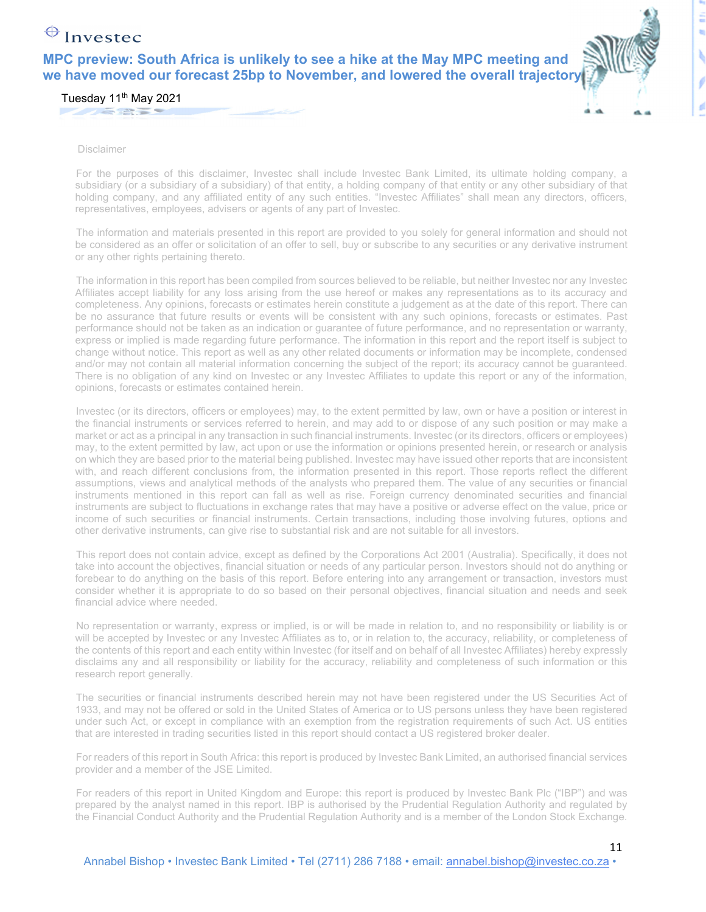

t,

11

Tuesday 11<sup>th</sup> May 2021 **PARK RESP** 

## Disclaimer

 $\bigoplus$  Investec

For the purposes of this disclaimer, Investec shall include Investec Bank Limited, its ultimate holding company, a subsidiary (or a subsidiary of a subsidiary) of that entity, a holding company of that entity or any other subsidiary of that holding company, and any affiliated entity of any such entities. "Investec Affiliates" shall mean any directors, officers, representatives, employees, advisers or agents of any part of Investec.

The information and materials presented in this report are provided to you solely for general information and should not be considered as an offer or solicitation of an offer to sell, buy or subscribe to any securities or any derivative instrument or any other rights pertaining thereto.

The information in this report has been compiled from sources believed to be reliable, but neither Investec nor any Investec Affiliates accept liability for any loss arising from the use hereof or makes any representations as to its accuracy and completeness. Any opinions, forecasts or estimates herein constitute a judgement as at the date of this report. There can be no assurance that future results or events will be consistent with any such opinions, forecasts or estimates. Past performance should not be taken as an indication or guarantee of future performance, and no representation or warranty, express or implied is made regarding future performance. The information in this report and the report itself is subject to change without notice. This report as well as any other related documents or information may be incomplete, condensed and/or may not contain all material information concerning the subject of the report; its accuracy cannot be guaranteed. There is no obligation of any kind on Investec or any Investec Affiliates to update this report or any of the information, opinions, forecasts or estimates contained herein.

Investec (or its directors, officers or employees) may, to the extent permitted by law, own or have a position or interest in the financial instruments or services referred to herein, and may add to or dispose of any such position or may make a market or act as a principal in any transaction in such financial instruments. Investec (or its directors, officers or employees) may, to the extent permitted by law, act upon or use the information or opinions presented herein, or research or analysis on which they are based prior to the material being published. Investec may have issued other reports that are inconsistent with, and reach different conclusions from, the information presented in this report. Those reports reflect the different assumptions, views and analytical methods of the analysts who prepared them. The value of any securities or financial instruments mentioned in this report can fall as well as rise. Foreign currency denominated securities and financial instruments are subject to fluctuations in exchange rates that may have a positive or adverse effect on the value, price or income of such securities or financial instruments. Certain transactions, including those involving futures, options and other derivative instruments, can give rise to substantial risk and are not suitable for all investors.

This report does not contain advice, except as defined by the Corporations Act 2001 (Australia). Specifically, it does not take into account the objectives, financial situation or needs of any particular person. Investors should not do anything or forebear to do anything on the basis of this report. Before entering into any arrangement or transaction, investors must consider whether it is appropriate to do so based on their personal objectives, financial situation and needs and seek financial advice where needed.

No representation or warranty, express or implied, is or will be made in relation to, and no responsibility or liability is or will be accepted by Investec or any Investec Affiliates as to, or in relation to, the accuracy, reliability, or completeness of the contents of this report and each entity within Investec (for itself and on behalf of all Investec Affiliates) hereby expressly disclaims any and all responsibility or liability for the accuracy, reliability and completeness of such information or this research report generally.

The securities or financial instruments described herein may not have been registered under the US Securities Act of 1933, and may not be offered or sold in the United States of America or to US persons unless they have been registered under such Act, or except in compliance with an exemption from the registration requirements of such Act. US entities that are interested in trading securities listed in this report should contact a US registered broker dealer.

For readers of this report in South Africa: this report is produced by Investec Bank Limited, an authorised financial services provider and a member of the JSE Limited.

For readers of this report in United Kingdom and Europe: this report is produced by Investec Bank Plc ("IBP") and was prepared by the analyst named in this report. IBP is authorised by the Prudential Regulation Authority and regulated by the Financial Conduct Authority and the Prudential Regulation Authority and is a member of the London Stock Exchange.